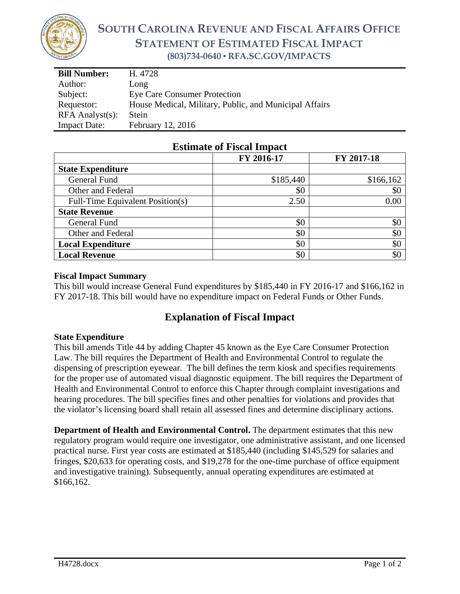

# **SOUTH CAROLINA REVENUE AND FISCAL AFFAIRS OFFICE STATEMENT OF ESTIMATED FISCAL IMPACT (803)734-0640 ▪ RFA.SC.GOV/IMPACTS**

| <b>Bill Number:</b>   | H. 4728                                                |  |
|-----------------------|--------------------------------------------------------|--|
| Author:               | Long                                                   |  |
| Subject:              | <b>Eye Care Consumer Protection</b>                    |  |
| Requestor:            | House Medical, Military, Public, and Municipal Affairs |  |
| $RFA$ Analyst $(s)$ : | Stein                                                  |  |
| <b>Impact Date:</b>   | February 12, 2016                                      |  |

|                                  | FY 2016-17 | FY 2017-18 |
|----------------------------------|------------|------------|
| <b>State Expenditure</b>         |            |            |
| General Fund                     | \$185,440  | \$166,162  |
| Other and Federal                | \$0        | \$0        |
| Full-Time Equivalent Position(s) | 2.50       | 0.00       |
| <b>State Revenue</b>             |            |            |
| General Fund                     | \$0        | \$0        |
| Other and Federal                | \$0        | \$0        |
| <b>Local Expenditure</b>         | \$0        | \$0        |
| <b>Local Revenue</b>             | \$0        | \$0        |

### **Estimate of Fiscal Impact**

#### **Fiscal Impact Summary**

This bill would increase General Fund expenditures by \$185,440 in FY 2016-17 and \$166,162 in FY 2017-18. This bill would have no expenditure impact on Federal Funds or Other Funds.

## **Explanation of Fiscal Impact**

#### **State Expenditure**

This bill amends Title 44 by adding Chapter 45 known as the Eye Care Consumer Protection Law. The bill requires the Department of Health and Environmental Control to regulate the dispensing of prescription eyewear. The bill defines the term kiosk and specifies requirements for the proper use of automated visual diagnostic equipment. The bill requires the Department of Health and Environmental Control to enforce this Chapter through complaint investigations and hearing procedures. The bill specifies fines and other penalties for violations and provides that the violator's licensing board shall retain all assessed fines and determine disciplinary actions.

**Department of Health and Environmental Control.** The department estimates that this new regulatory program would require one investigator, one administrative assistant, and one licensed practical nurse. First year costs are estimated at \$185,440 (including \$145,529 for salaries and fringes, \$20,633 for operating costs, and \$19,278 for the one-time purchase of office equipment and investigative training). Subsequently, annual operating expenditures are estimated at \$166,162.